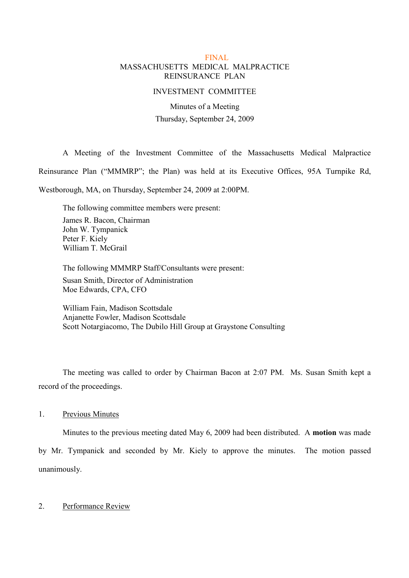## FINAL MASSACHUSETTS MEDICAL MALPRACTICE REINSURANCE PLAN

#### INVESTMENT COMMITTEE

Minutes of a Meeting Thursday, September 24, 2009

A Meeting of the Investment Committee of the Massachusetts Medical Malpractice

Reinsurance Plan ("MMMRP"; the Plan) was held at its Executive Offices, 95A Turnpike Rd,

Westborough, MA, on Thursday, September 24, 2009 at 2:00PM.

The following committee members were present: James R. Bacon, Chairman John W. Tympanick Peter F. Kiely William T. McGrail

The following MMMRP Staff/Consultants were present: Susan Smith, Director of Administration Moe Edwards, CPA, CFO

William Fain, Madison Scottsdale Anjanette Fowler, Madison Scottsdale Scott Notargiacomo, The Dubilo Hill Group at Graystone Consulting

The meeting was called to order by Chairman Bacon at 2:07 PM. Ms. Susan Smith kept a record of the proceedings.

1. Previous Minutes

Minutes to the previous meeting dated May 6, 2009 had been distributed. A **motion** was made by Mr. Tympanick and seconded by Mr. Kiely to approve the minutes. The motion passed unanimously.

### 2. Performance Review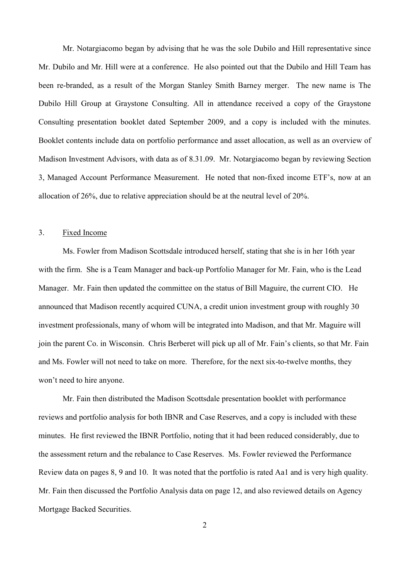Mr. Notargiacomo began by advising that he was the sole Dubilo and Hill representative since Mr. Dubilo and Mr. Hill were at a conference. He also pointed out that the Dubilo and Hill Team has been re-branded, as a result of the Morgan Stanley Smith Barney merger. The new name is The Dubilo Hill Group at Graystone Consulting. All in attendance received a copy of the Graystone Consulting presentation booklet dated September 2009, and a copy is included with the minutes. Booklet contents include data on portfolio performance and asset allocation, as well as an overview of Madison Investment Advisors, with data as of 8.31.09. Mr. Notargiacomo began by reviewing Section 3, Managed Account Performance Measurement. He noted that non-fixed income ETF's, now at an allocation of 26%, due to relative appreciation should be at the neutral level of 20%.

### 3. Fixed Income

Ms. Fowler from Madison Scottsdale introduced herself, stating that she is in her 16th year with the firm. She is a Team Manager and back-up Portfolio Manager for Mr. Fain, who is the Lead Manager. Mr. Fain then updated the committee on the status of Bill Maguire, the current CIO. He announced that Madison recently acquired CUNA, a credit union investment group with roughly 30 investment professionals, many of whom will be integrated into Madison, and that Mr. Maguire will join the parent Co. in Wisconsin. Chris Berberet will pick up all of Mr. Fain's clients, so that Mr. Fain and Ms. Fowler will not need to take on more. Therefore, for the next six-to-twelve months, they won't need to hire anyone.

Mr. Fain then distributed the Madison Scottsdale presentation booklet with performance reviews and portfolio analysis for both IBNR and Case Reserves, and a copy is included with these minutes. He first reviewed the IBNR Portfolio, noting that it had been reduced considerably, due to the assessment return and the rebalance to Case Reserves. Ms. Fowler reviewed the Performance Review data on pages 8, 9 and 10. It was noted that the portfolio is rated Aa1 and is very high quality. Mr. Fain then discussed the Portfolio Analysis data on page 12, and also reviewed details on Agency Mortgage Backed Securities.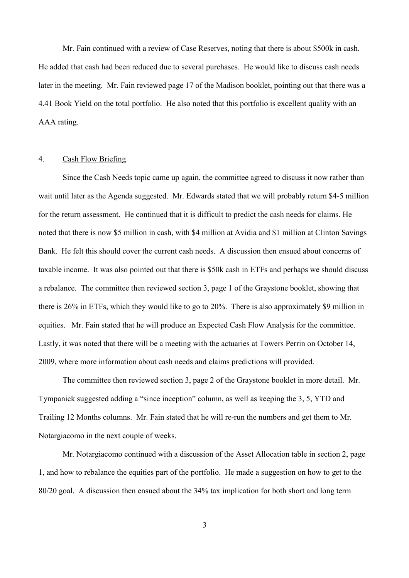Mr. Fain continued with a review of Case Reserves, noting that there is about \$500k in cash. He added that cash had been reduced due to several purchases. He would like to discuss cash needs later in the meeting. Mr. Fain reviewed page 17 of the Madison booklet, pointing out that there was a 4.41 Book Yield on the total portfolio. He also noted that this portfolio is excellent quality with an AAA rating.

### 4. Cash Flow Briefing

Since the Cash Needs topic came up again, the committee agreed to discuss it now rather than wait until later as the Agenda suggested. Mr. Edwards stated that we will probably return \$4-5 million for the return assessment. He continued that it is difficult to predict the cash needs for claims. He noted that there is now \$5 million in cash, with \$4 million at Avidia and \$1 million at Clinton Savings Bank. He felt this should cover the current cash needs. A discussion then ensued about concerns of taxable income. It was also pointed out that there is \$50k cash in ETFs and perhaps we should discuss a rebalance. The committee then reviewed section 3, page 1 of the Graystone booklet, showing that there is 26% in ETFs, which they would like to go to 20%. There is also approximately \$9 million in equities. Mr. Fain stated that he will produce an Expected Cash Flow Analysis for the committee. Lastly, it was noted that there will be a meeting with the actuaries at Towers Perrin on October 14, 2009, where more information about cash needs and claims predictions will provided.

The committee then reviewed section 3, page 2 of the Graystone booklet in more detail. Mr. Tympanick suggested adding a "since inception" column, as well as keeping the 3, 5, YTD and Trailing 12 Months columns. Mr. Fain stated that he will re-run the numbers and get them to Mr. Notargiacomo in the next couple of weeks.

Mr. Notargiacomo continued with a discussion of the Asset Allocation table in section 2, page 1, and how to rebalance the equities part of the portfolio. He made a suggestion on how to get to the 80/20 goal. A discussion then ensued about the 34% tax implication for both short and long term

3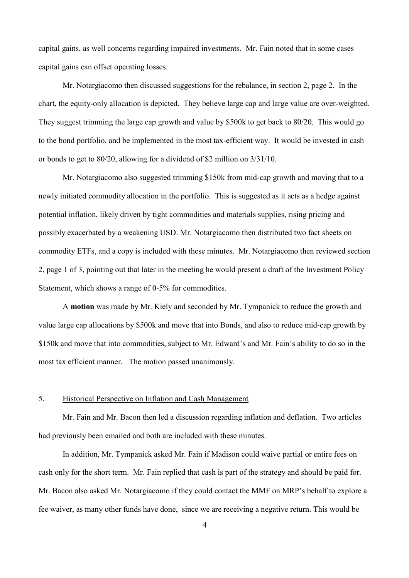capital gains, as well concerns regarding impaired investments. Mr. Fain noted that in some cases capital gains can offset operating losses.

Mr. Notargiacomo then discussed suggestions for the rebalance, in section 2, page 2. In the chart, the equity-only allocation is depicted. They believe large cap and large value are over-weighted. They suggest trimming the large cap growth and value by \$500k to get back to 80/20. This would go to the bond portfolio, and be implemented in the most tax-efficient way. It would be invested in cash or bonds to get to 80/20, allowing for a dividend of \$2 million on 3/31/10.

Mr. Notargiacomo also suggested trimming \$150k from mid-cap growth and moving that to a newly initiated commodity allocation in the portfolio. This is suggested as it acts as a hedge against potential inflation, likely driven by tight commodities and materials supplies, rising pricing and possibly exacerbated by a weakening USD. Mr. Notargiacomo then distributed two fact sheets on commodity ETFs, and a copy is included with these minutes. Mr. Notargiacomo then reviewed section 2, page 1 of 3, pointing out that later in the meeting he would present a draft of the Investment Policy Statement, which shows a range of 0-5% for commodities.

A **motion** was made by Mr. Kiely and seconded by Mr. Tympanick to reduce the growth and value large cap allocations by \$500k and move that into Bonds, and also to reduce mid-cap growth by \$150k and move that into commodities, subject to Mr. Edward's and Mr. Fain's ability to do so in the most tax efficient manner. The motion passed unanimously.

#### 5. Historical Perspective on Inflation and Cash Management

Mr. Fain and Mr. Bacon then led a discussion regarding inflation and deflation. Two articles had previously been emailed and both are included with these minutes.

In addition, Mr. Tympanick asked Mr. Fain if Madison could waive partial or entire fees on cash only for the short term. Mr. Fain replied that cash is part of the strategy and should be paid for. Mr. Bacon also asked Mr. Notargiacomo if they could contact the MMF on MRP's behalf to explore a fee waiver, as many other funds have done, since we are receiving a negative return. This would be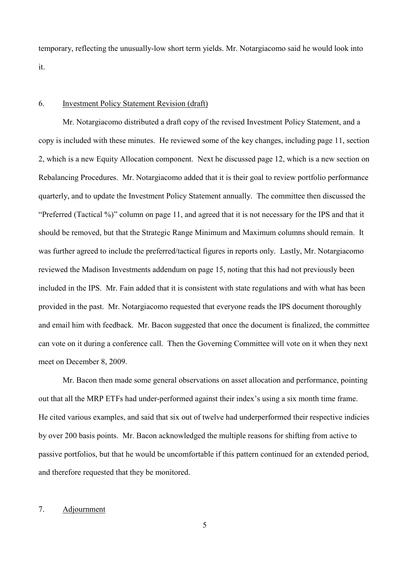temporary, reflecting the unusually-low short term yields. Mr. Notargiacomo said he would look into it.

### 6. Investment Policy Statement Revision (draft)

Mr. Notargiacomo distributed a draft copy of the revised Investment Policy Statement, and a copy is included with these minutes. He reviewed some of the key changes, including page 11, section 2, which is a new Equity Allocation component. Next he discussed page 12, which is a new section on Rebalancing Procedures. Mr. Notargiacomo added that it is their goal to review portfolio performance quarterly, and to update the Investment Policy Statement annually. The committee then discussed the "Preferred (Tactical %)" column on page 11, and agreed that it is not necessary for the IPS and that it should be removed, but that the Strategic Range Minimum and Maximum columns should remain. It was further agreed to include the preferred/tactical figures in reports only. Lastly, Mr. Notargiacomo reviewed the Madison Investments addendum on page 15, noting that this had not previously been included in the IPS. Mr. Fain added that it is consistent with state regulations and with what has been provided in the past. Mr. Notargiacomo requested that everyone reads the IPS document thoroughly and email him with feedback. Mr. Bacon suggested that once the document is finalized, the committee can vote on it during a conference call. Then the Governing Committee will vote on it when they next meet on December 8, 2009.

Mr. Bacon then made some general observations on asset allocation and performance, pointing out that all the MRP ETFs had under-performed against their index's using a six month time frame. He cited various examples, and said that six out of twelve had underperformed their respective indicies by over 200 basis points. Mr. Bacon acknowledged the multiple reasons for shifting from active to passive portfolios, but that he would be uncomfortable if this pattern continued for an extended period, and therefore requested that they be monitored.

## 7. Adjournment

5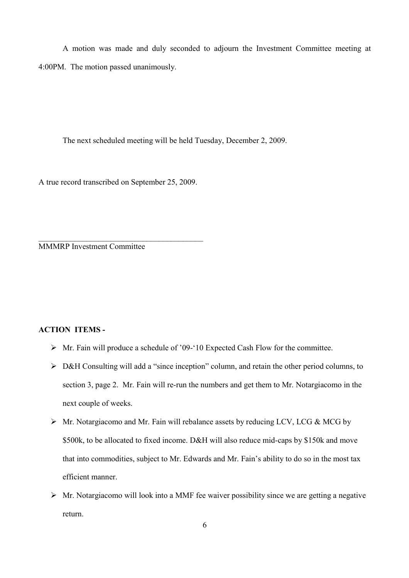A motion was made and duly seconded to adjourn the Investment Committee meeting at 4:00PM. The motion passed unanimously.

The next scheduled meeting will be held Tuesday, December 2, 2009.

A true record transcribed on September 25, 2009.

 $\mathcal{L}_\mathcal{L}$  , where  $\mathcal{L}_\mathcal{L}$  is the set of the set of the set of the set of the set of the set of the set of the set of the set of the set of the set of the set of the set of the set of the set of the set of the

MMMRP Investment Committee

# **ACTION ITEMS -**

- $\triangleright$  Mr. Fain will produce a schedule of '09-'10 Expected Cash Flow for the committee.
- $\triangleright$  D&H Consulting will add a "since inception" column, and retain the other period columns, to section 3, page 2. Mr. Fain will re-run the numbers and get them to Mr. Notargiacomo in the next couple of weeks.
- $\triangleright$  Mr. Notargiacomo and Mr. Fain will rebalance assets by reducing LCV, LCG & MCG by \$500k, to be allocated to fixed income. D&H will also reduce mid-caps by \$150k and move that into commodities, subject to Mr. Edwards and Mr. Fain's ability to do so in the most tax efficient manner.
- $\triangleright$  Mr. Notargiacomo will look into a MMF fee waiver possibility since we are getting a negative return.